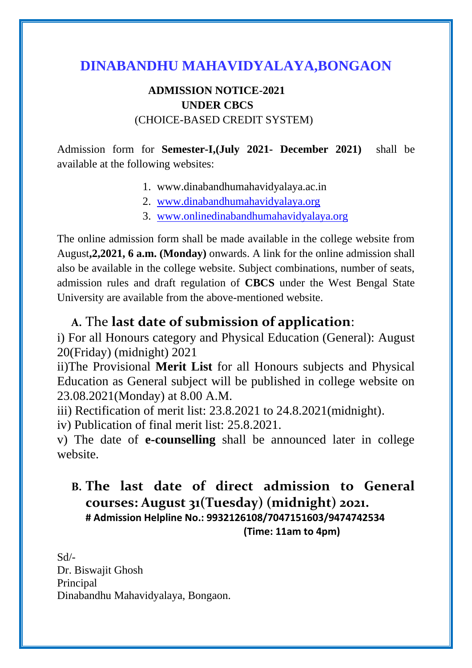# **DINABANDHU MAHAVIDYALAYA,BONGAON**

### **ADMISSION NOTICE-2021 UNDER CBCS** (CHOICE-BASED CREDIT SYSTEM)

Admission form for **Semester-I,(July 2021- December 2021)** shall be available at the following websites:

- 1. www.dinabandhumahavidyalaya.ac.in
- 2. [www.dinabandhumahavidyalaya.org](http://www.dinabandhumahavidyalaya.org/)
- 3. [www.onlinedinabandhumahavidyalaya.org](http://www.onlinedinabandhumahavidyalaya.org/)

The online admission form shall be made available in the college website from August**,2,2021, 6 a.m. (Monday)** onwards. A link for the online admission shall also be available in the college website. Subject combinations, number of seats, admission rules and draft regulation of **CBCS** under the West Bengal State University are available from the above-mentioned website.

## **A.** The **last date of submission of application**:

i) For all Honours category and Physical Education (General): August 20(Friday) (midnight) 2021

ii)The Provisional **Merit List** for all Honours subjects and Physical Education as General subject will be published in college website on 23.08.2021(Monday) at 8.00 A.M.

iii) Rectification of merit list: 23.8.2021 to 24.8.2021(midnight).

iv) Publication of final merit list: 25.8.2021.

v) The date of **e-counselling** shall be announced later in college website.

# **B. The last date of direct admission to General courses: August 31(Tuesday) (midnight) 2021. # Admission Helpline No.: 9932126108/7047151603/9474742534 (Time: 11am to 4pm)**

Sd/- Dr. Biswajit Ghosh Principal Dinabandhu Mahavidyalaya, Bongaon.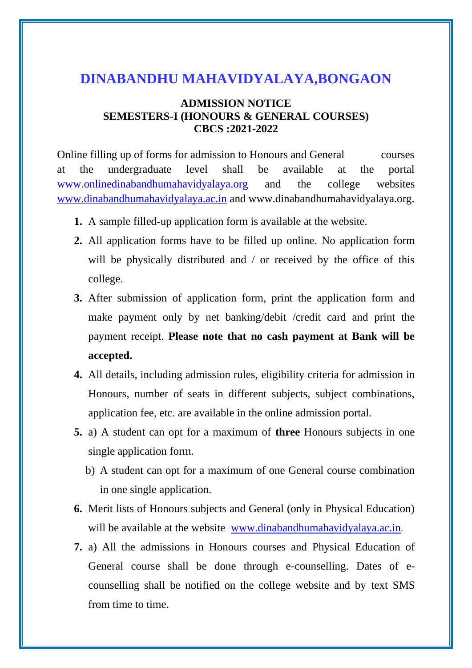# **DINABANDHU MAHAVIDYALAYA,BONGAON**

#### **ADMISSION NOTICE SEMESTERS-I (HONOURS & GENERAL COURSES) CBCS :2021-2022**

Online filling up of forms for admission to Honours and General courses at the undergraduate level shall be available at the portal [www.onlinedinabandhumahavidyalaya.org](http://www.onlinedinabandhumahavidyalaya.org/) and the college websites [www.dinabandhumahavidyalaya.ac.in](http://www.dinabandhumahavidyalaya.ac.in/) and www.dinabandhumahavidyalaya.org.

- **1.** A sample filled-up application form is available at the website.
- **2.** All application forms have to be filled up online. No application form will be physically distributed and / or received by the office of this college.
- **3.** After submission of application form, print the application form and make payment only by net banking/debit /credit card and print the payment receipt. **Please note that no cash payment at Bank will be accepted.**
- **4.** All details, including admission rules, eligibility criteria for admission in Honours, number of seats in different subjects, subject combinations, application fee, etc. are available in the online admission portal.
- **5.** a) A student can opt for a maximum of **three** Honours subjects in one single application form.
	- b) A student can opt for a maximum of one General course combination in one single application.
- **6.** Merit lists of Honours subjects and General (only in Physical Education) will be available at the website [www.dinabandhumahavidyalaya.ac.in](http://www.dinabandhumahavidyalaya.ac.in/).
- **7.** a) All the admissions in Honours courses and Physical Education of General course shall be done through e-counselling. Dates of ecounselling shall be notified on the college website and by text SMS from time to time.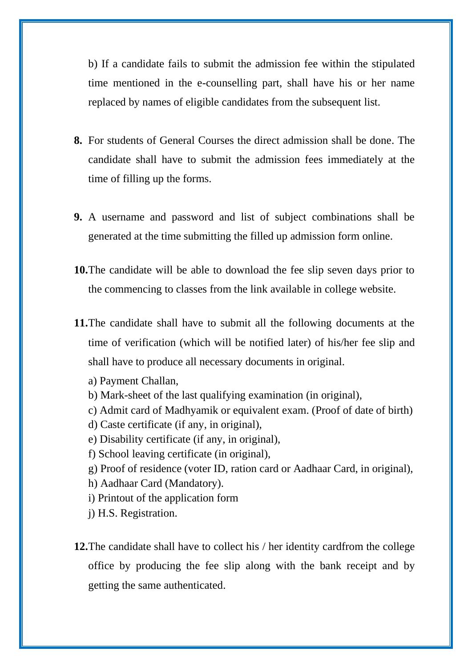b) If a candidate fails to submit the admission fee within the stipulated time mentioned in the e-counselling part, shall have his or her name replaced by names of eligible candidates from the subsequent list.

- **8.** For students of General Courses the direct admission shall be done. The candidate shall have to submit the admission fees immediately at the time of filling up the forms.
- **9.** A username and password and list of subject combinations shall be generated at the time submitting the filled up admission form online.
- **10.**The candidate will be able to download the fee slip seven days prior to the commencing to classes from the link available in college website.
- **11.**The candidate shall have to submit all the following documents at the time of verification (which will be notified later) of his/her fee slip and shall have to produce all necessary documents in original.
	- a) Payment Challan,
	- b) Mark-sheet of the last qualifying examination (in original),
	- c) Admit card of Madhyamik or equivalent exam. (Proof of date of birth)
	- d) Caste certificate (if any, in original),
	- e) Disability certificate (if any, in original),
	- f) School leaving certificate (in original),
	- g) Proof of residence (voter ID, ration card or Aadhaar Card, in original),
	- h) Aadhaar Card (Mandatory).
	- i) Printout of the application form
	- j) H.S. Registration.

**12.**The candidate shall have to collect his / her identity cardfrom the college office by producing the fee slip along with the bank receipt and by getting the same authenticated.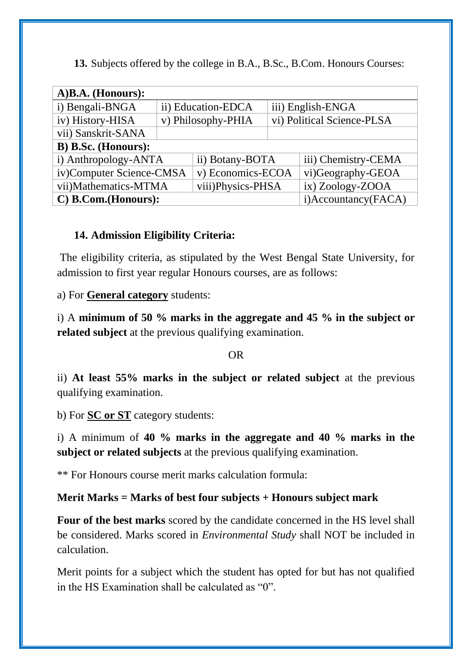| A)B.A. (Honours):        |                    |                   |                            |                     |  |
|--------------------------|--------------------|-------------------|----------------------------|---------------------|--|
| i) Bengali-BNGA          | ii) Education-EDCA |                   | iii) English-ENGA          |                     |  |
| iv) History-HISA         | v) Philosophy-PHIA |                   | vi) Political Science-PLSA |                     |  |
| vii) Sanskrit-SANA       |                    |                   |                            |                     |  |
| B) B.Sc. (Honours):      |                    |                   |                            |                     |  |
| i) Anthropology-ANTA     |                    | ii) Botany-BOTA   |                            | iii) Chemistry-CEMA |  |
| iv)Computer Science-CMSA |                    | v) Economics-ECOA |                            | vi)Geography-GEOA   |  |
| vii)Mathematics-MTMA     |                    | viii)Physics-PHSA |                            | ix) Zoology-ZOOA    |  |
| C) B.Com.(Honours):      |                    |                   |                            | i)Accountancy(FACA) |  |

**13.** Subjects offered by the college in B.A., B.Sc., B.Com. Honours Courses:

### **14. Admission Eligibility Criteria:**

The eligibility criteria, as stipulated by the West Bengal State University, for admission to first year regular Honours courses, are as follows:

a) For **General category** students:

i) A **minimum of 50 % marks in the aggregate and 45 % in the subject or related subject** at the previous qualifying examination.

#### OR

ii) **At least 55% marks in the subject or related subject** at the previous qualifying examination.

b) For **SC or ST** category students:

i) A minimum of **40 % marks in the aggregate and 40 % marks in the subject or related subjects** at the previous qualifying examination.

\*\* For Honours course merit marks calculation formula:

### **Merit Marks = Marks of best four subjects + Honours subject mark**

**Four of the best marks** scored by the candidate concerned in the HS level shall be considered. Marks scored in *Environmental Study* shall NOT be included in calculation.

Merit points for a subject which the student has opted for but has not qualified in the HS Examination shall be calculated as "0".